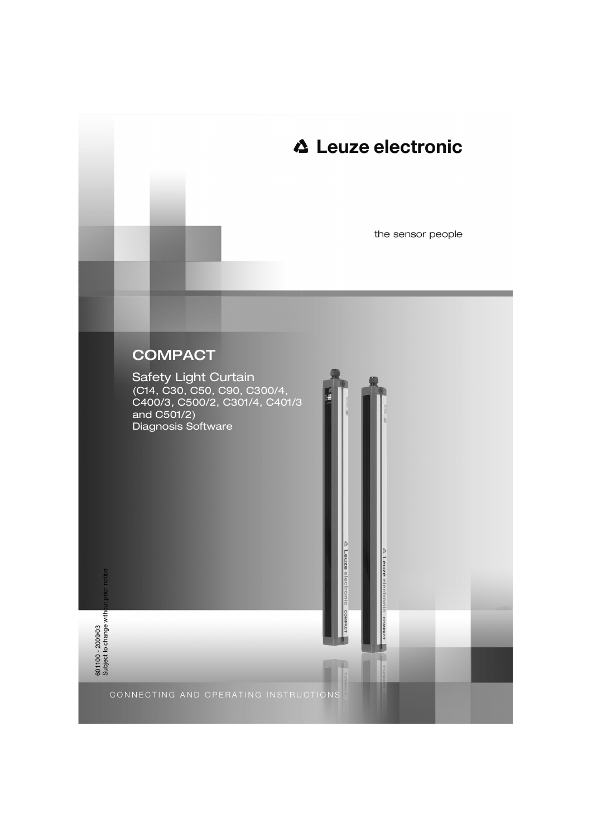# **△ Leuze electronic**

the sensor people

# **COMPACT**

Safety Light Curtain (C14, C30, C50, C90, C300/4, C400/3, C500/2, C301/4, C401/3 and C501/2) Diagnosis Software

Leuze e

**A** Leuze electronic

COMF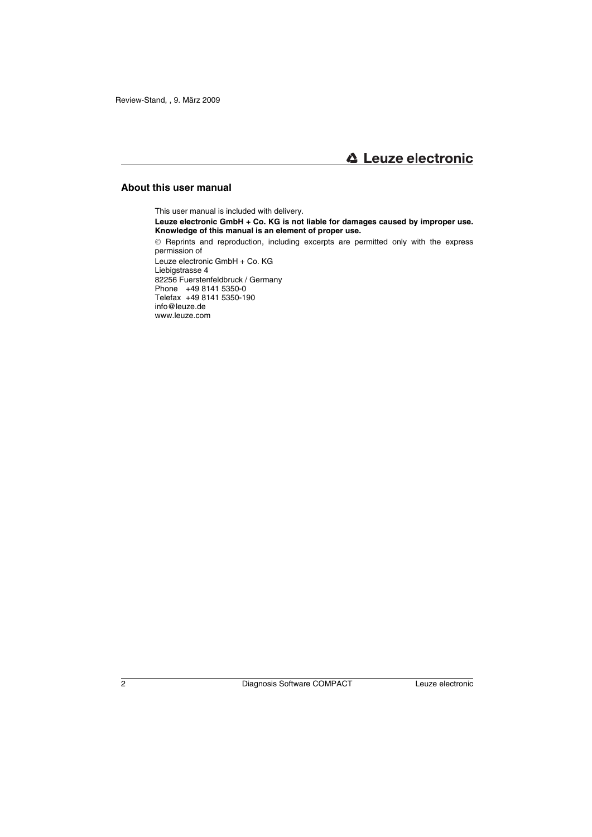## **About this user manual**

This user manual is included with delivery.

**Leuze electronic GmbH + Co. KG is not liable for damages caused by improper use. Knowledge of this manual is an element of proper use.**

© Reprints and reproduction, including excerpts are permitted only with the express permission of

Leuze electronic GmbH + Co. KG Liebigstrasse 4 82256 Fuerstenfeldbruck / Germany Phone +49 8141 5350-0 Telefax +49 8141 5350-190 info@leuze.de www.leuze.com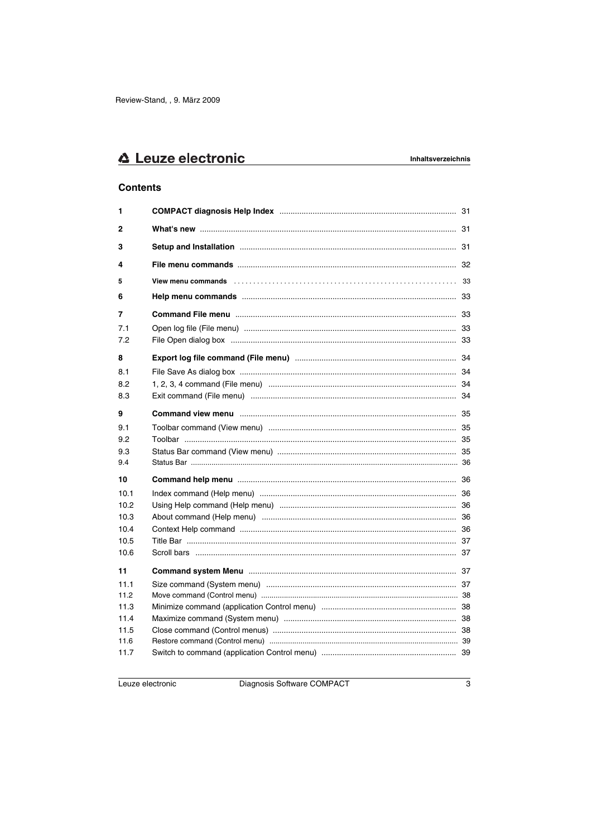## **Contents**

| 1            |                                                                                                                |  |
|--------------|----------------------------------------------------------------------------------------------------------------|--|
| $\mathbf{2}$ |                                                                                                                |  |
| 3            |                                                                                                                |  |
| 4            |                                                                                                                |  |
| 5            | View menu commands (etc.), etc.), etc.), etc.), etc.), etc., etc., etc., etc., etc., and all vertical states o |  |
| 6            |                                                                                                                |  |
| 7            |                                                                                                                |  |
| 7.1<br>7.2   |                                                                                                                |  |
| 8            |                                                                                                                |  |
| 8.1          |                                                                                                                |  |
| 8.2          |                                                                                                                |  |
| 8.3          |                                                                                                                |  |
| 9            |                                                                                                                |  |
| 9.1          |                                                                                                                |  |
| 9.2          |                                                                                                                |  |
| 9.3          |                                                                                                                |  |
| 9.4          |                                                                                                                |  |
| 10           |                                                                                                                |  |
| 10.1         |                                                                                                                |  |
| 10.2         |                                                                                                                |  |
| 10.3         |                                                                                                                |  |
| 10.4         |                                                                                                                |  |
| 10.5         |                                                                                                                |  |
| 10.6         |                                                                                                                |  |
| 11           |                                                                                                                |  |
| 11.1         |                                                                                                                |  |
| 11.2         |                                                                                                                |  |
| 11.3         |                                                                                                                |  |
| 11.4         |                                                                                                                |  |
| 11.5<br>11.6 |                                                                                                                |  |
| 11.7         |                                                                                                                |  |
|              |                                                                                                                |  |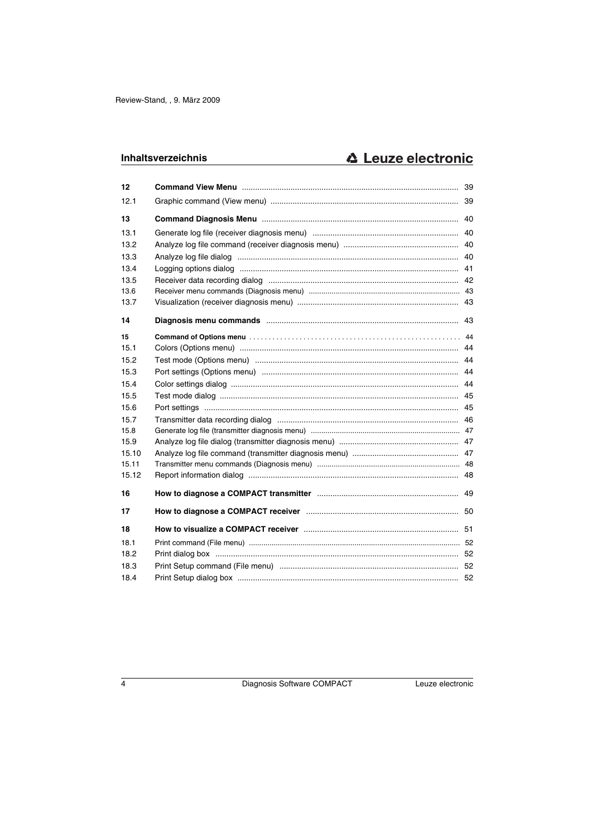| 12    |                                                                            |  |
|-------|----------------------------------------------------------------------------|--|
| 12.1  |                                                                            |  |
| 13    |                                                                            |  |
| 13.1  |                                                                            |  |
| 13.2  |                                                                            |  |
| 13.3  |                                                                            |  |
| 13.4  |                                                                            |  |
| 13.5  |                                                                            |  |
| 13.6  |                                                                            |  |
| 13.7  |                                                                            |  |
| 14    |                                                                            |  |
| 15    |                                                                            |  |
| 15.1  |                                                                            |  |
| 15.2  |                                                                            |  |
| 15.3  |                                                                            |  |
| 15.4  |                                                                            |  |
| 15.5  |                                                                            |  |
| 15.6  |                                                                            |  |
| 15.7  |                                                                            |  |
| 15.8  |                                                                            |  |
| 15.9  |                                                                            |  |
| 15.10 |                                                                            |  |
| 15.11 |                                                                            |  |
| 15.12 |                                                                            |  |
| 16    |                                                                            |  |
| 17    |                                                                            |  |
| 18    | How to visualize a COMPACT receiver manufacture manufacture manufacture 51 |  |
| 18.1  |                                                                            |  |
| 18.2  |                                                                            |  |
| 18.3  |                                                                            |  |
| 18.4  |                                                                            |  |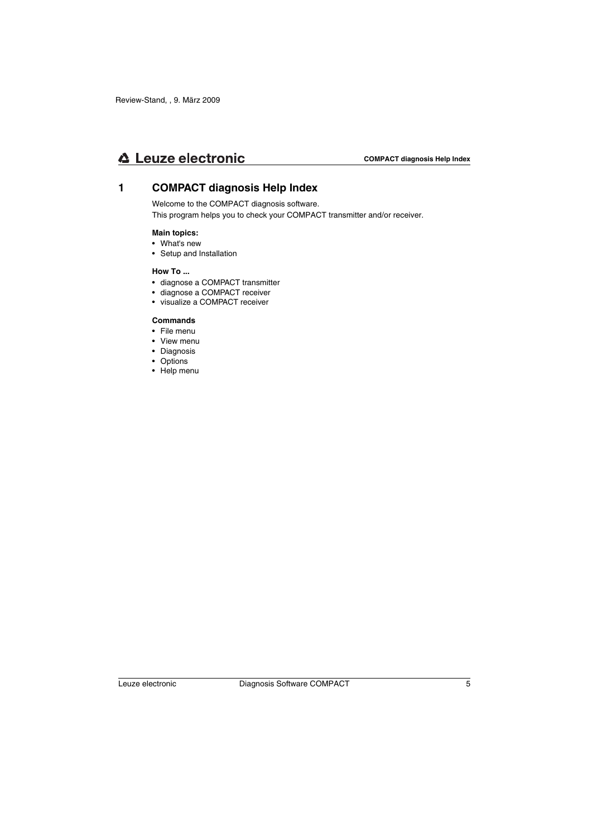## **1 COMPACT diagnosis Help Index**

Welcome to the COMPACT diagnosis software.

This program helps you to check your COMPACT transmitter and/or receiver.

#### **Main topics:**

- What's new
- Setup and Installation

#### **How To ...**

- diagnose a COMPACT transmitter
- diagnose a COMPACT receiver
- visualize a COMPACT receiver

### **Commands**

- File menu
- View menu
- Diagnosis
- Options
- Help menu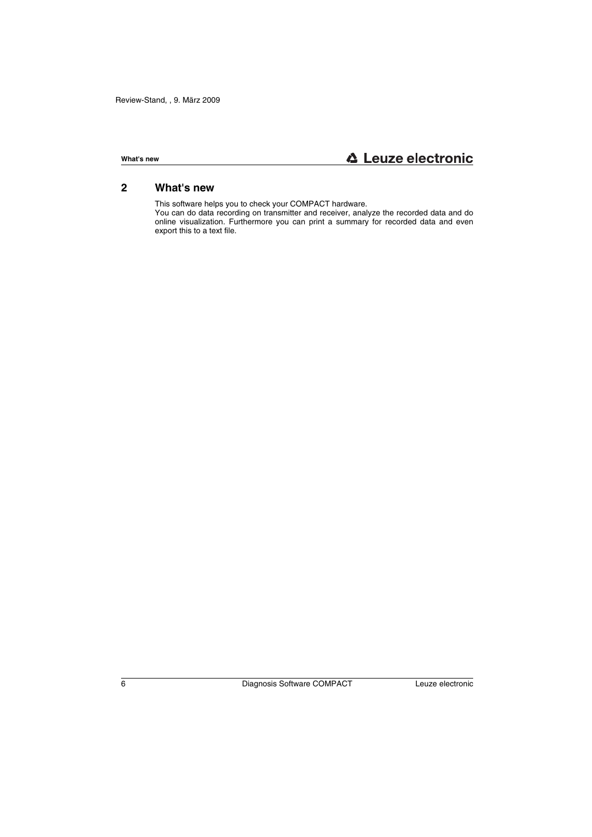## **2 What's new**

This software helps you to check your COMPACT hardware.

You can do data recording on transmitter and receiver, analyze the recorded data and do online visualization. Furthermore you can print a summary for recorded data and even export this to a text file.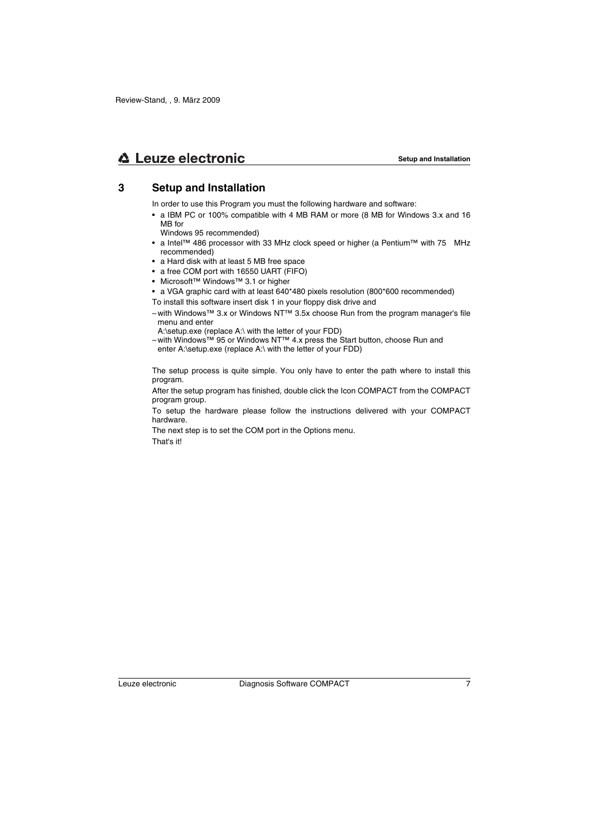## **3 Setup and Installation**

In order to use this Program you must the following hardware and software:

- a IBM PC or 100% compatible with 4 MB RAM or more (8 MB for Windows 3.x and 16 MB for
	- Windows 95 recommended)
- a Intel™ 486 processor with 33 MHz clock speed or higher (a Pentium™ with 75 MHz recommended)
- a Hard disk with at least 5 MB free space
- a free COM port with 16550 UART (FIFO)
- Microsoft™ Windows™ 3.1 or higher
- a VGA graphic card with at least 640\*480 pixels resolution (800\*600 recommended)
- To install this software insert disk 1 in your floppy disk drive and
- with Windows™ 3.x or Windows NT™ 3.5x choose Run from the program manager's file menu and enter

A:\setup.exe (replace A:\ with the letter of your FDD)

– with Windows™ 95 or Windows NT™ 4.x press the Start button, choose Run and enter A:\setup.exe (replace A:\ with the letter of your FDD)

The setup process is quite simple. You only have to enter the path where to install this program.

After the setup program has finished, double click the Icon COMPACT from the COMPACT program group.

To setup the hardware please follow the instructions delivered with your COMPACT hardware.

The next step is to set the COM port in the Options menu.

That's it!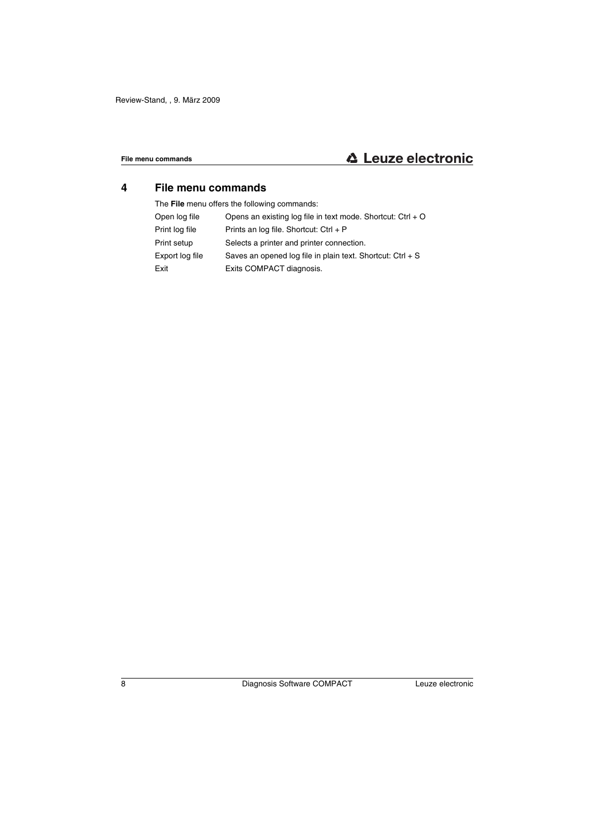## **4 File menu commands**

The **File** menu offers the following commands:

| Open log file   | Opens an existing log file in text mode. Shortcut: $Ctrl + O$ |
|-----------------|---------------------------------------------------------------|
| Print log file  | Prints an log file. Shortcut: Ctrl + P                        |
| Print setup     | Selects a printer and printer connection.                     |
| Export log file | Saves an opened log file in plain text. Shortcut: $Ctrl + S$  |
| Exit            | Exits COMPACT diagnosis.                                      |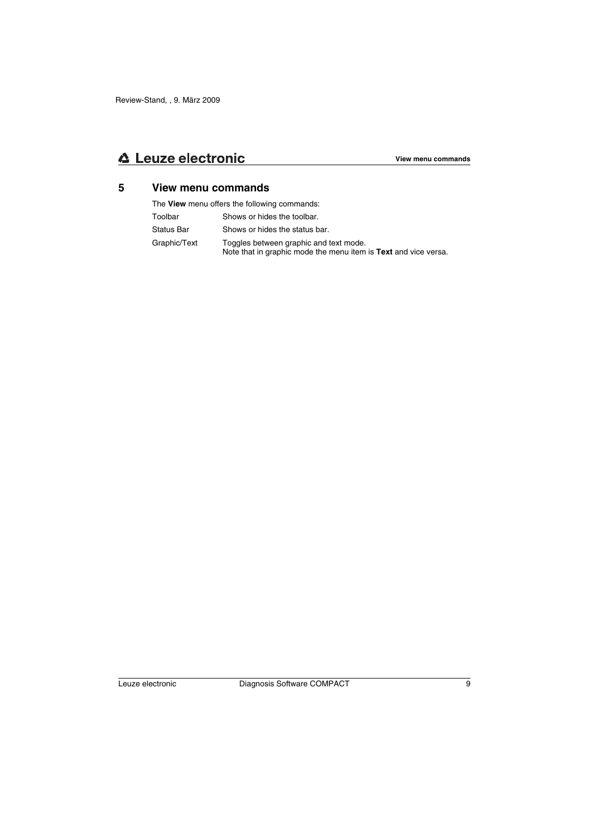## **5 View menu commands**

The **View** menu offers the following commands:

Toolbar Shows or hides the toolbar. Status Bar Shows or hides the status bar. Graphic/Text Toggles between graphic and text mode. Note that in graphic mode the menu item is **Text** and vice versa.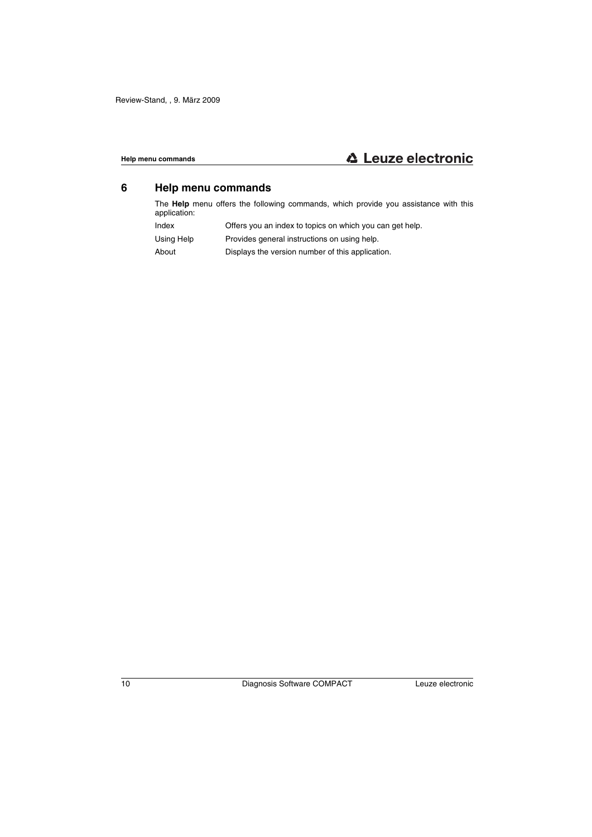## **6 Help menu commands**

The **Help** menu offers the following commands, which provide you assistance with this application:

- Index Offers you an index to topics on which you can get help.
- Using Help Provides general instructions on using help.
- About Displays the version number of this application.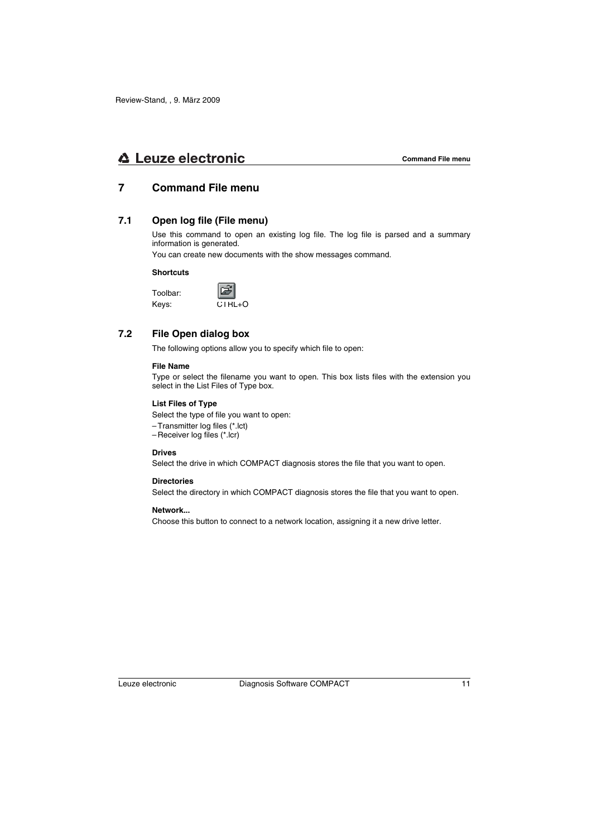## **7 Command File menu**

## **7.1 Open log file (File menu)**

Use this command to open an existing log file. The log file is parsed and a summary information is generated.

You can create new documents with the show messages command.

#### **Shortcuts**

Toolbar: Keys:



## **7.2 File Open dialog box**

The following options allow you to specify which file to open:

### **File Name**

Type or select the filename you want to open. This box lists files with the extension you select in the List Files of Type box.

#### **List Files of Type**

Select the type of file you want to open:

- Transmitter log files (\*.lct)
- Receiver log files (\*.lcr)

#### **Drives**

Select the drive in which COMPACT diagnosis stores the file that you want to open.

#### **Directories**

Select the directory in which COMPACT diagnosis stores the file that you want to open.

#### **Network...**

Choose this button to connect to a network location, assigning it a new drive letter.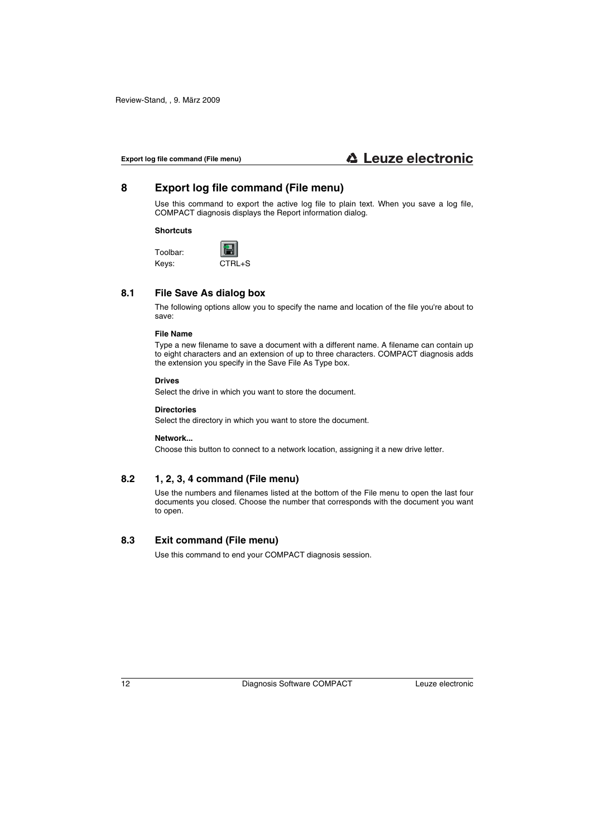## **8 Export log file command (File menu)**

Use this command to export the active log file to plain text. When you save a log file, COMPACT diagnosis displays the Report information dialog.

#### **Shortcuts**

Toolbar: Keys: CTRL+S

## **8.1 File Save As dialog box**

The following options allow you to specify the name and location of the file you're about to save:

#### **File Name**

Type a new filename to save a document with a different name. A filename can contain up to eight characters and an extension of up to three characters. COMPACT diagnosis adds the extension you specify in the Save File As Type box.

#### **Drives**

Select the drive in which you want to store the document.

#### **Directories**

Select the directory in which you want to store the document.

#### **Network...**

Choose this button to connect to a network location, assigning it a new drive letter.

## **8.2 1, 2, 3, 4 command (File menu)**

Use the numbers and filenames listed at the bottom of the File menu to open the last four documents you closed. Choose the number that corresponds with the document you want to open.

## **8.3 Exit command (File menu)**

Use this command to end your COMPACT diagnosis session.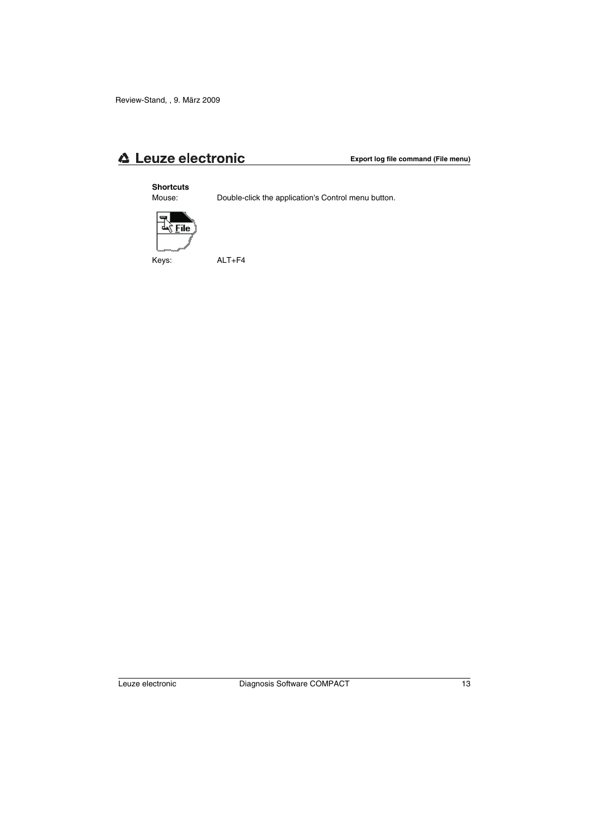#### **Shortcuts**

Mouse: Double-click the application's Control menu button.



Keys: ALT+F4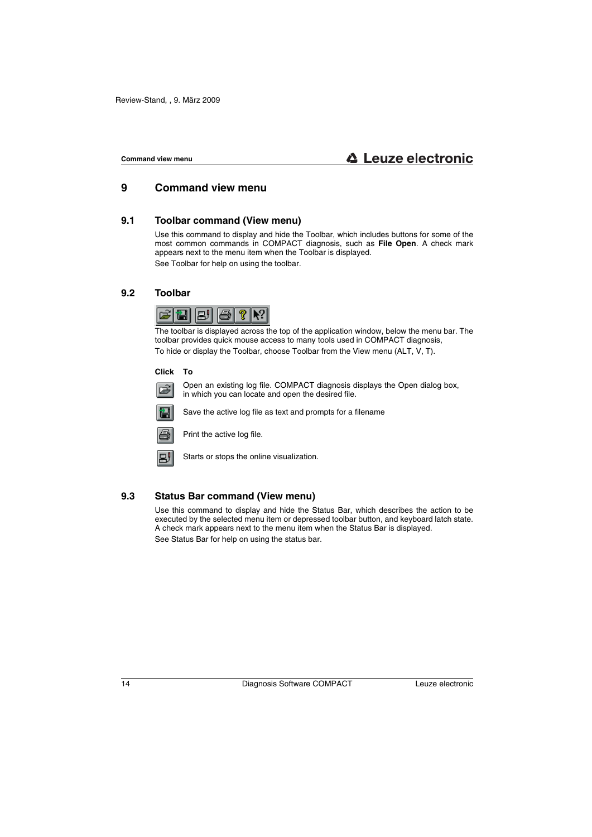## **9 Command view menu**

## **9.1 Toolbar command (View menu)**

Use this command to display and hide the Toolbar, which includes buttons for some of the most common commands in COMPACT diagnosis, such as **File Open**. A check mark appears next to the menu item when the Toolbar is displayed. See Toolbar for help on using the toolbar.

### **9.2 Toolbar**



The toolbar is displayed across the top of the application window, below the menu bar. The toolbar provides quick mouse access to many tools used in COMPACT diagnosis, To hide or display the Toolbar, choose Toolbar from the View menu (ALT, V, T).

#### **Click To**



Open an existing log file. COMPACT diagnosis displays the Open dialog box, in which you can locate and open the desired file.



Save the active log file as text and prompts for a filename



Print the active log file.



Starts or stops the online visualization.

## **9.3 Status Bar command (View menu)**

Use this command to display and hide the Status Bar, which describes the action to be executed by the selected menu item or depressed toolbar button, and keyboard latch state. A check mark appears next to the menu item when the Status Bar is displayed. See Status Bar for help on using the status bar.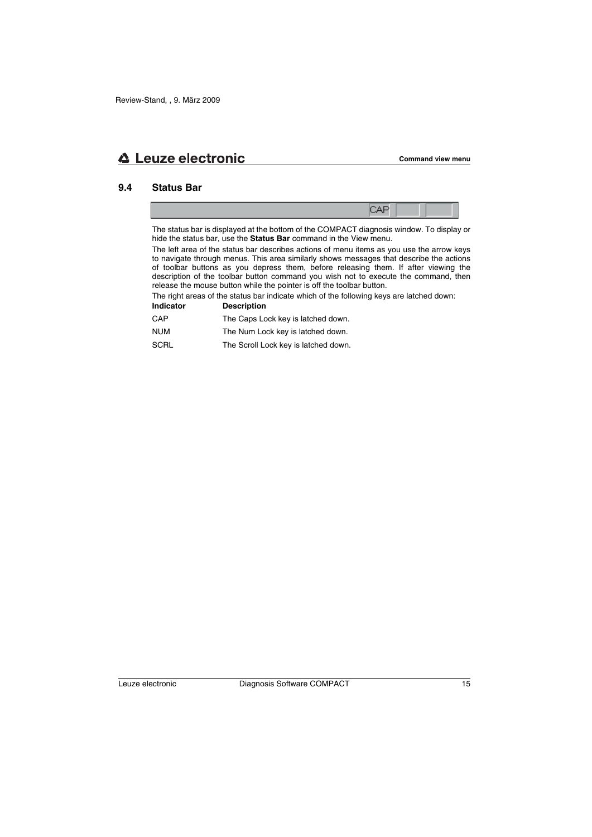## **9.4 Status Bar**

The status bar is displayed at the bottom of the COMPACT diagnosis window. To display or hide the status bar, use the **Status Bar** command in the View menu.

The left area of the status bar describes actions of menu items as you use the arrow keys to navigate through menus. This area similarly shows messages that describe the actions of toolbar buttons as you depress them, before releasing them. If after viewing the description of the toolbar button command you wish not to execute the command, then release the mouse button while the pointer is off the toolbar button.

The right areas of the status bar indicate which of the following keys are latched down:

| <b>Indicator</b> | <b>Description</b>                   |
|------------------|--------------------------------------|
| CAP              | The Caps Lock key is latched down.   |
| <b>NUM</b>       | The Num Lock key is latched down.    |
| <b>SCRL</b>      | The Scroll Lock key is latched down. |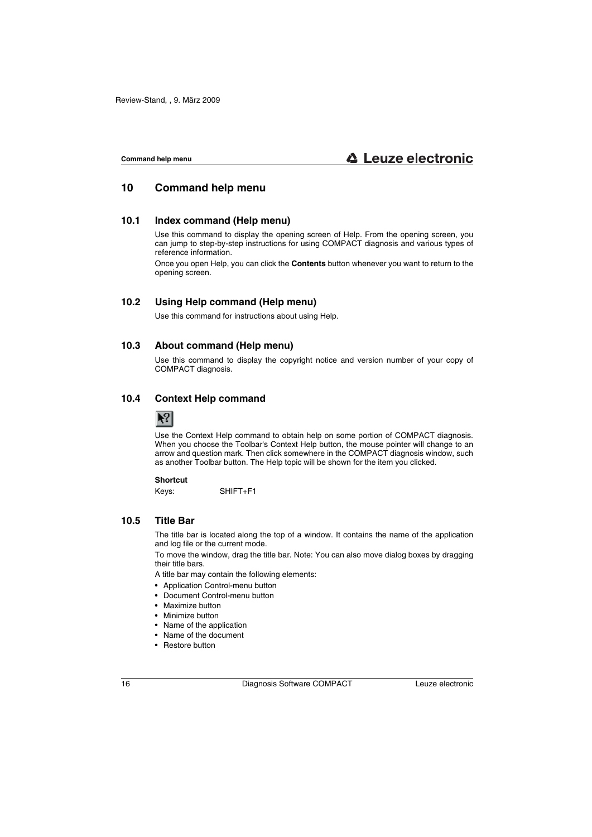## **10 Command help menu**

## **10.1 Index command (Help menu)**

Use this command to display the opening screen of Help. From the opening screen, you can jump to step-by-step instructions for using COMPACT diagnosis and various types of reference information.

Once you open Help, you can click the **Contents** button whenever you want to return to the opening screen.

## **10.2 Using Help command (Help menu)**

Use this command for instructions about using Help.

### **10.3 About command (Help menu)**

Use this command to display the copyright notice and version number of your copy of COMPACT diagnosis.

## **10.4 Context Help command**



Use the Context Help command to obtain help on some portion of COMPACT diagnosis. When you choose the Toolbar's Context Help button, the mouse pointer will change to an arrow and question mark. Then click somewhere in the COMPACT diagnosis window, such as another Toolbar button. The Help topic will be shown for the item you clicked.

#### **Shortcut**

Keys: SHIFT+F1

## **10.5 Title Bar**

The title bar is located along the top of a window. It contains the name of the application and log file or the current mode.

To move the window, drag the title bar. Note: You can also move dialog boxes by dragging their title bars.

A title bar may contain the following elements:

- Application Control-menu button
- Document Control-menu button
- Maximize button
- Minimize button
- Name of the application
- Name of the document
- Restore button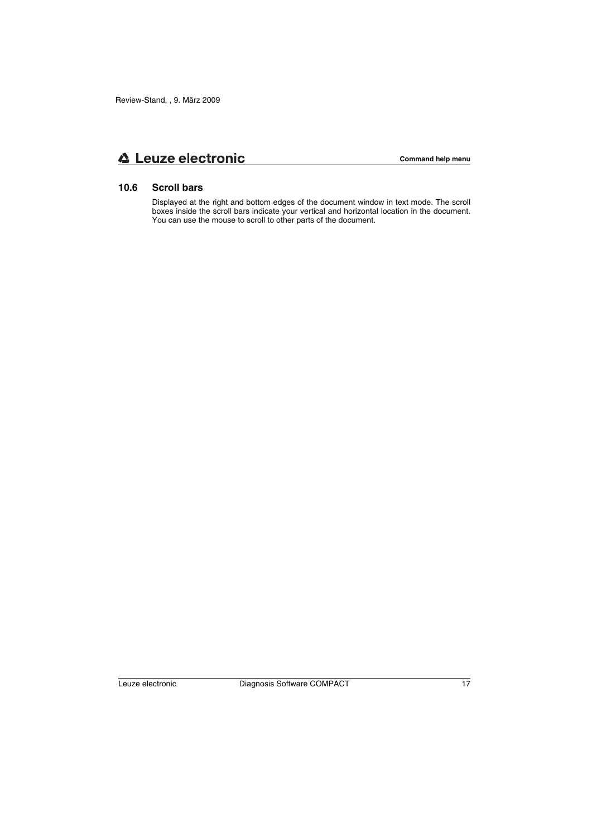## **10.6 Scroll bars**

Displayed at the right and bottom edges of the document window in text mode. The scroll boxes inside the scroll bars indicate your vertical and horizontal location in the document. You can use the mouse to scroll to other parts of the document.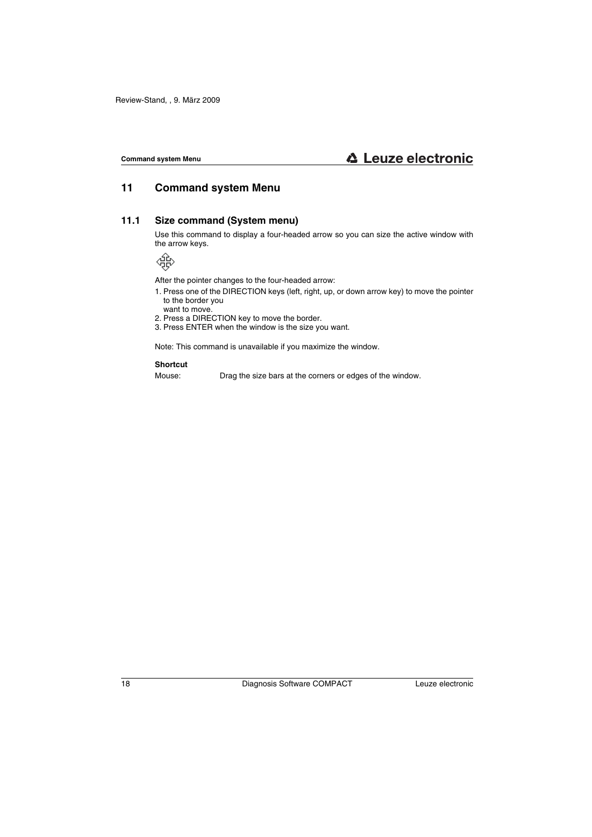## **11 Command system Menu**

## **11.1 Size command (System menu)**

Use this command to display a four-headed arrow so you can size the active window with the arrow keys.

$$
\mathcal{L}_{\text{SP}}^{\text{max}}
$$

After the pointer changes to the four-headed arrow:

- 1. Press one of the DIRECTION keys (left, right, up, or down arrow key) to move the pointer to the border you want to move.
- 2. Press a DIRECTION key to move the border.
- 3. Press ENTER when the window is the size you want.

Note: This command is unavailable if you maximize the window.

#### **Shortcut**

Mouse: Drag the size bars at the corners or edges of the window.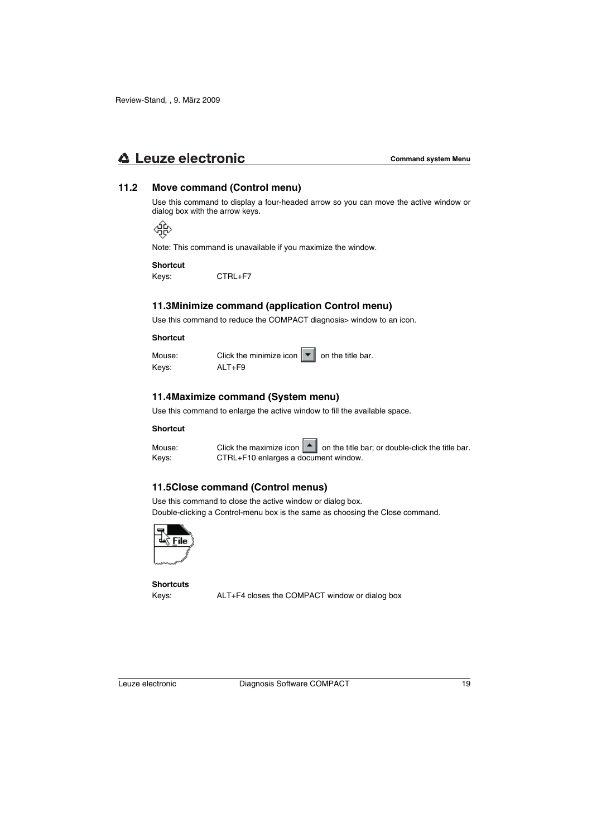## **△ Leuze electronic**

## **11.2 Move command (Control menu)**

Use this command to display a four-headed arrow so you can move the active window or dialog box with the arrow keys.

Æ

Note: This command is unavailable if you maximize the window.

#### **Shortcut**

Keys: CTRL+F7

## **11.3Minimize command (application Control menu)**

Use this command to reduce the COMPACT diagnosis> window to an icon.

#### **Shortcut**

| Mouse: | Click the minimize icon $\ \bullet\ $ on the title bar. |  |
|--------|---------------------------------------------------------|--|
| Keys:  | $ALT + F9$                                              |  |

## **11.4Maximize command (System menu)**

Use this command to enlarge the active window to fill the available space.

#### **Shortcut**

Mouse: Click the maximize icon  $\|\cdot\|$  on the title bar; or double-click the title bar. Keys: CTRL+F10 enlarges a document window.

## **11.5Close command (Control menus)**

Use this command to close the active window or dialog box.

Double-clicking a Control-menu box is the same as choosing the Close command.



**Shortcuts**

Keys: ALT+F4 closes the COMPACT window or dialog box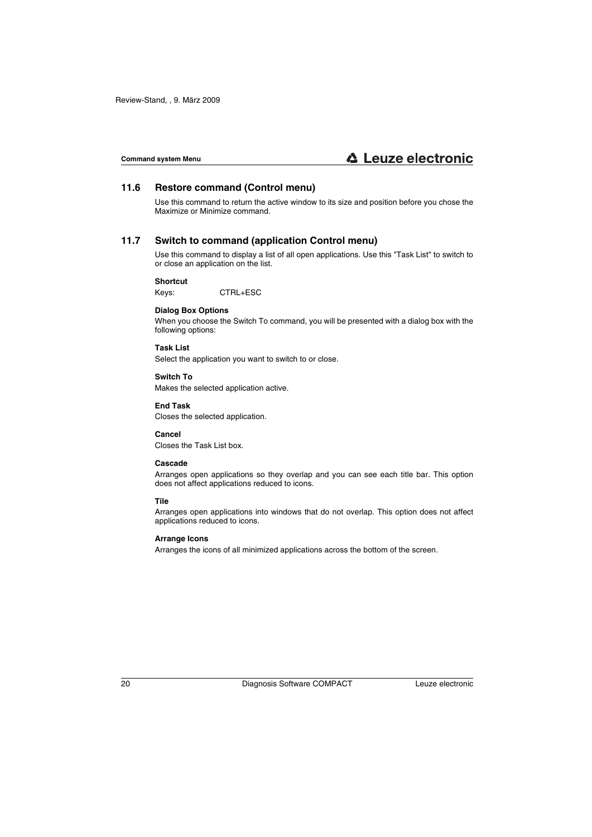## **11.6 Restore command (Control menu)**

Use this command to return the active window to its size and position before you chose the Maximize or Minimize command.

## **11.7 Switch to command (application Control menu)**

Use this command to display a list of all open applications. Use this "Task List" to switch to or close an application on the list.

#### **Shortcut**

Keys: CTRL+ESC

#### **Dialog Box Options**

When you choose the Switch To command, you will be presented with a dialog box with the following options:

#### **Task List**

Select the application you want to switch to or close.

#### **Switch To**

Makes the selected application active.

#### **End Task**

Closes the selected application.

**Cancel** Closes the Task List box.

#### **Cascade**

Arranges open applications so they overlap and you can see each title bar. This option does not affect applications reduced to icons.

#### **Tile**

Arranges open applications into windows that do not overlap. This option does not affect applications reduced to icons.

#### **Arrange Icons**

Arranges the icons of all minimized applications across the bottom of the screen.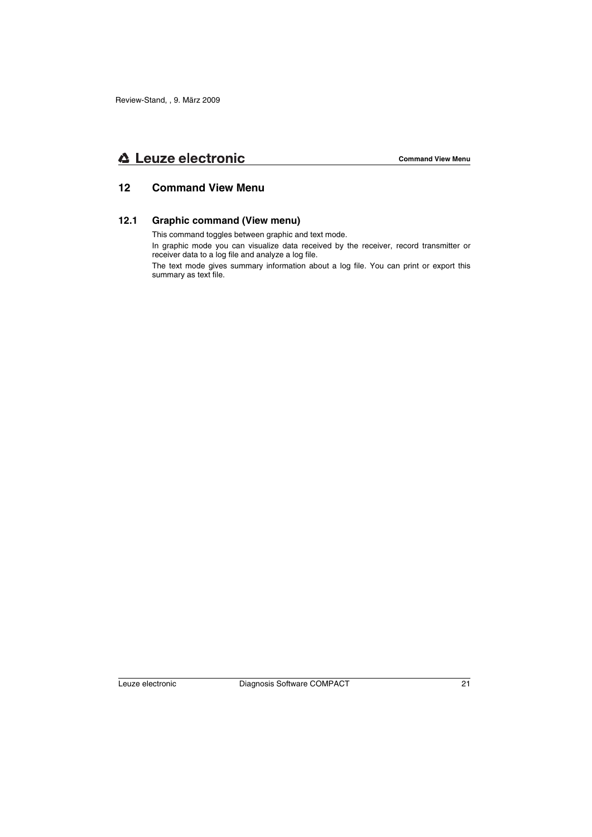## **△ Leuze electronic**

## **12 Command View Menu**

## **12.1 Graphic command (View menu)**

This command toggles between graphic and text mode.

In graphic mode you can visualize data received by the receiver, record transmitter or receiver data to a log file and analyze a log file.

The text mode gives summary information about a log file. You can print or export this summary as text file.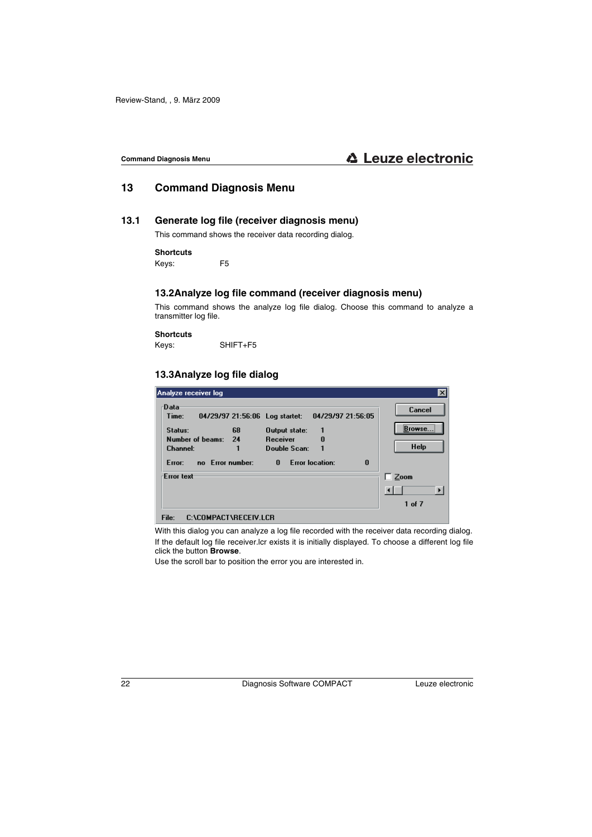## **13 Command Diagnosis Menu**

## **13.1 Generate log file (receiver diagnosis menu)**

This command shows the receiver data recording dialog.

#### **Shortcuts**

Keys: F5

## **13.2Analyze log file command (receiver diagnosis menu)**

This command shows the analyze log file dialog. Choose this command to analyze a transmitter log file.

#### **Shortcuts**

Keys: SHIFT+F5

## **13.3Analyze log file dialog**

| Analyze receiver log                                                                                           |                                                                     | $\vert x \vert$                      |
|----------------------------------------------------------------------------------------------------------------|---------------------------------------------------------------------|--------------------------------------|
| -Data<br>Time:<br>04/29/97 21:56:06 Log startet:<br>Status:<br>68<br>Number of beams:<br>24<br><b>Channel:</b> | 04/29/97 21:56:05<br>Output state:<br>Receiver<br>n<br>Double Scan: | Cancel<br><br>Browse.<br><b>Help</b> |
| no Error number:<br>Error:                                                                                     | <b>Error location:</b><br>$\bf{0}$<br>0                             |                                      |
| <b>Frror text</b>                                                                                              |                                                                     | Zoom                                 |
|                                                                                                                |                                                                     |                                      |
|                                                                                                                |                                                                     | 1 of 7                               |
| File:<br>C:\COMPACT\RECEIV.LCR                                                                                 |                                                                     |                                      |

With this dialog you can analyze a log file recorded with the receiver data recording dialog. If the default log file receiver.lcr exists it is initially displayed. To choose a different log file click the button **Browse**.

Use the scroll bar to position the error you are interested in.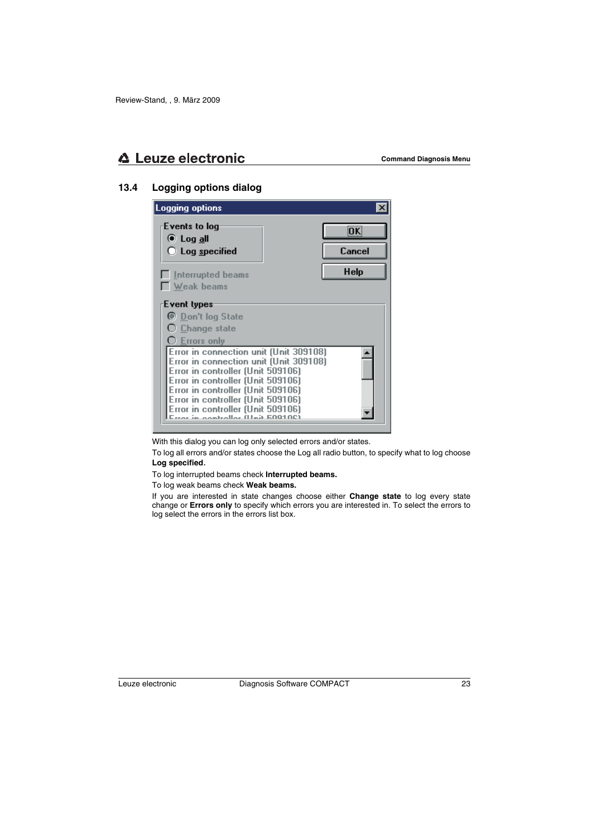## **13.4 Logging options dialog**

| Logging options                                                                                                                                                                                                                                                                                               |             |
|---------------------------------------------------------------------------------------------------------------------------------------------------------------------------------------------------------------------------------------------------------------------------------------------------------------|-------------|
| Events to log<br>® Log <u>a</u> ll                                                                                                                                                                                                                                                                            | <b>OK</b>   |
| $\bigcirc$ Log specified                                                                                                                                                                                                                                                                                      | Cancel      |
| $\Box$ Interrupted beams                                                                                                                                                                                                                                                                                      | <b>Help</b> |
| Weak beams                                                                                                                                                                                                                                                                                                    |             |
| Event types                                                                                                                                                                                                                                                                                                   |             |
| <b>C</b> Don't log State                                                                                                                                                                                                                                                                                      |             |
| ○ <u>C</u> hange state                                                                                                                                                                                                                                                                                        |             |
| $\mathrm{C}\,$ Errors only                                                                                                                                                                                                                                                                                    |             |
| Error in connection unit (Unit 309108)<br>Error in connection unit (Unit 309108)<br>Error in controller (Unit 509106)<br>Error in controller (Unit 509106)<br>Error in controller (Unit 509106)<br>Error in controller (Unit 509106)<br>Error in controller (Unit 509106)<br>rror in oontrollor (Hait 60010C) |             |

With this dialog you can log only selected errors and/or states.

To log all errors and/or states choose the Log all radio button, to specify what to log choose **Log specified**.

To log interrupted beams check **Interrupted beams.**

To log weak beams check **Weak beams.**

If you are interested in state changes choose either **Change state** to log every state change or **Errors only** to specify which errors you are interested in. To select the errors to log select the errors in the errors list box.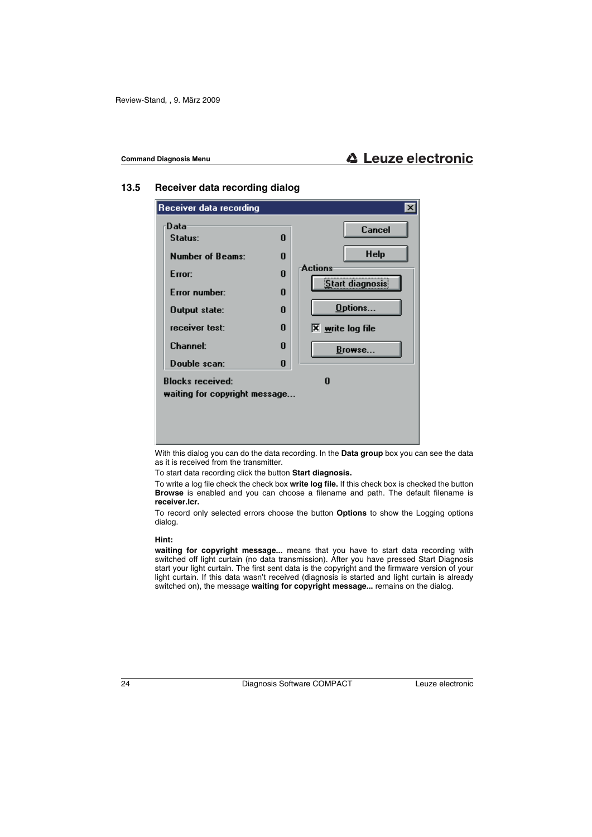## **13.5 Receiver data recording dialog**



With this dialog you can do the data recording. In the **Data group** box you can see the data as it is received from the transmitter.

To start data recording click the button **Start diagnosis.**

To write a log file check the check box **write log file.** If this check box is checked the button **Browse** is enabled and you can choose a filename and path. The default filename is **receiver.lcr.**

To record only selected errors choose the button **Options** to show the Logging options dialog.

#### **Hint:**

**waiting for copyright message...** means that you have to start data recording with switched off light curtain (no data transmission). After you have pressed Start Diagnosis start your light curtain. The first sent data is the copyright and the firmware version of your light curtain. If this data wasn't received (diagnosis is started and light curtain is already switched on), the message **waiting for copyright message...** remains on the dialog.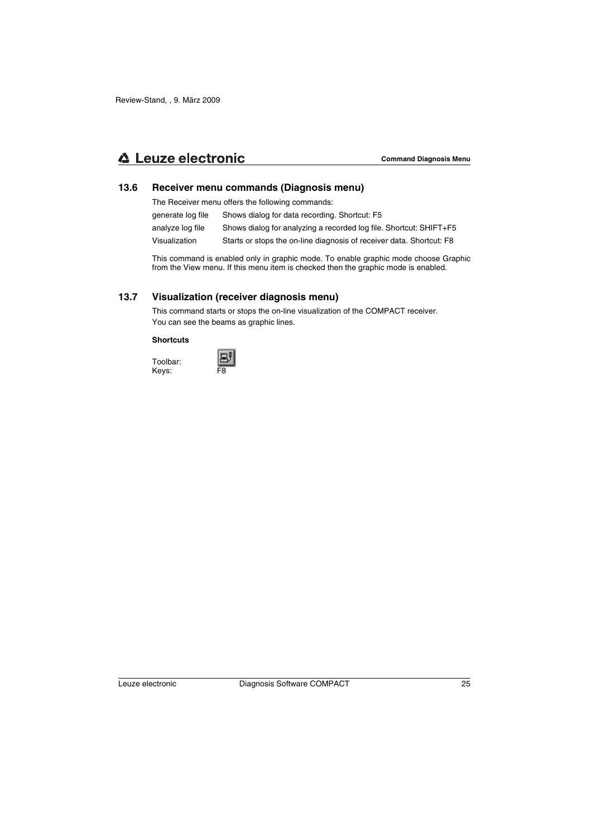## **△ Leuze electronic**

### **13.6 Receiver menu commands (Diagnosis menu)**

The Receiver menu offers the following commands:

| generate log file | Shows dialog for data recording. Shortcut: F5                        |
|-------------------|----------------------------------------------------------------------|
| analyze log file  | Shows dialog for analyzing a recorded log file. Shortcut: SHIFT+F5   |
| Visualization     | Starts or stops the on-line diagnosis of receiver data. Shortcut: F8 |

This command is enabled only in graphic mode. To enable graphic mode choose Graphic from the View menu. If this menu item is checked then the graphic mode is enabled.

## **13.7 Visualization (receiver diagnosis menu)**

This command starts or stops the on-line visualization of the COMPACT receiver. You can see the beams as graphic lines.

#### **Shortcuts**

Toolbar: Keys:

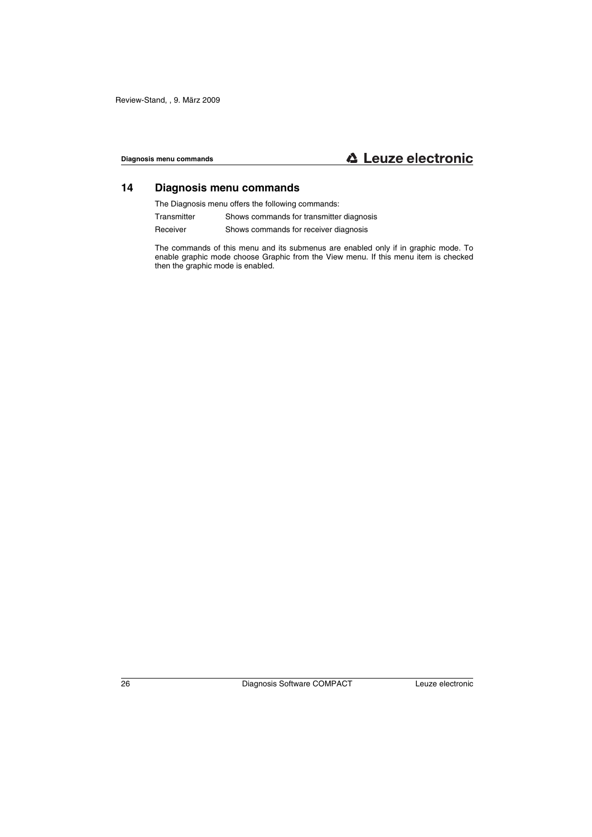## **14 Diagnosis menu commands**

The Diagnosis menu offers the following commands:

- Transmitter Shows commands for transmitter diagnosis
- Receiver Shows commands for receiver diagnosis

The commands of this menu and its submenus are enabled only if in graphic mode. To enable graphic mode choose Graphic from the View menu. If this menu item is checked then the graphic mode is enabled.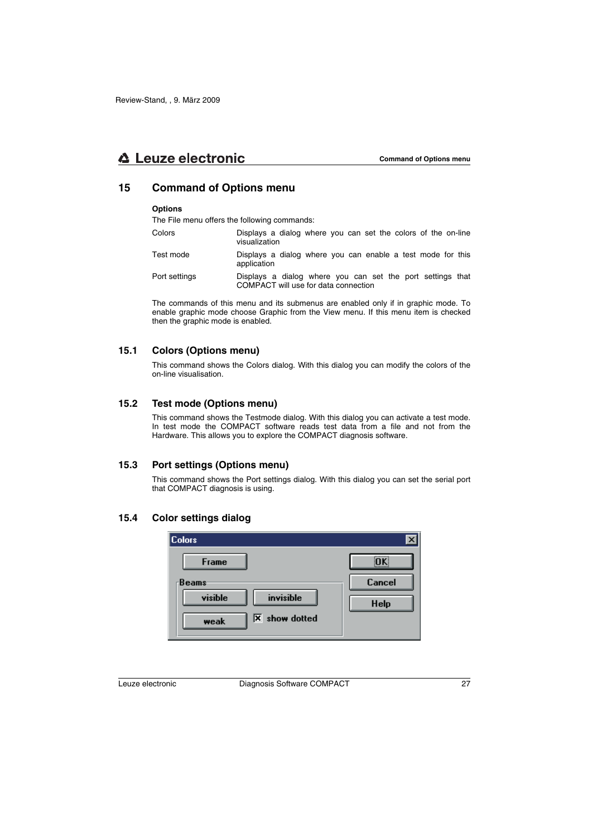## **15 Command of Options menu**

#### **Options**

The File menu offers the following commands:

- Colors Displays a dialog where you can set the colors of the on-line visualization
- Test mode Displays a dialog where you can enable a test mode for this application
- Port settings Displays a dialog where you can set the port settings that COMPACT will use for data connection

The commands of this menu and its submenus are enabled only if in graphic mode. To enable graphic mode choose Graphic from the View menu. If this menu item is checked then the graphic mode is enabled.

### **15.1 Colors (Options menu)**

This command shows the Colors dialog. With this dialog you can modify the colors of the on-line visualisation.

### **15.2 Test mode (Options menu)**

This command shows the Testmode dialog. With this dialog you can activate a test mode. In test mode the COMPACT software reads test data from a file and not from the Hardware. This allows you to explore the COMPACT diagnosis software.

## **15.3 Port settings (Options menu)**

This command shows the Port settings dialog. With this dialog you can set the serial port that COMPACT diagnosis is using.

## **15.4 Color settings dialog**

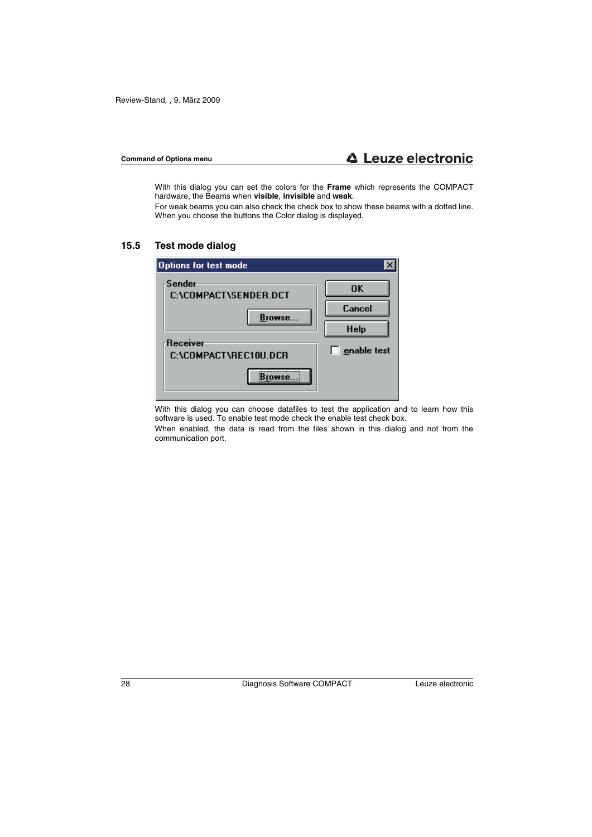With this dialog you can set the colors for the **Frame** which represents the COMPACT hardware, the Beams when **visible**, **invisible** and **weak**.

For weak beams you can also check the check box to show these beams with a dotted line. When you choose the buttons the Color dialog is displayed.

## **15.5 Test mode dialog**

| Options for test mode             |                    |
|-----------------------------------|--------------------|
| -Sender<br>C:\COMPACT\SENDER.DCT  | <b>OK</b>          |
| Browse                            | Cancel             |
|                                   | <b>Help</b>        |
| Receiver<br>C:\COMPACT\REC10U.DCR | $\Box$ enable test |
|                                   |                    |

With this dialog you can choose datafiles to test the application and to learn how this software is used. To enable test mode check the enable test check box.

When enabled, the data is read from the files shown in this dialog and not from the communication port.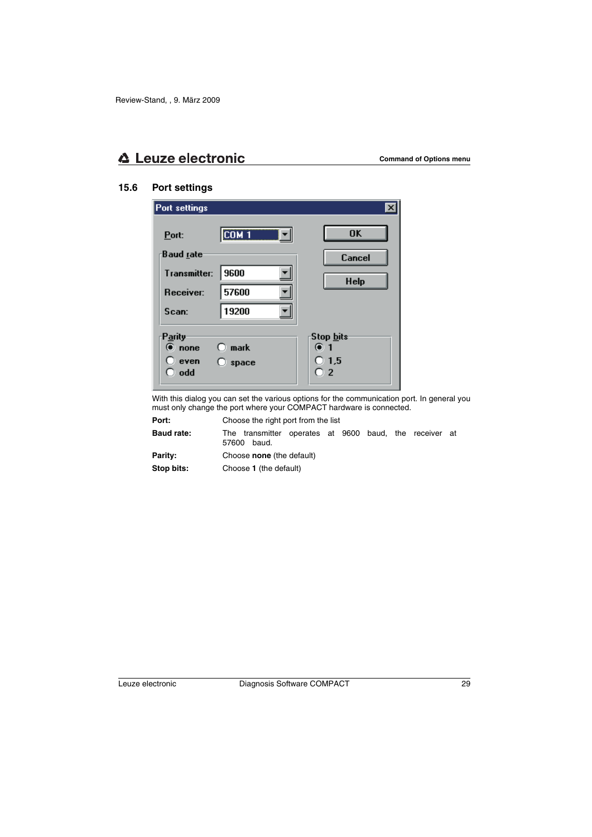## **15.6 Port settings**

| Port settings                       |                                 |                                                          |
|-------------------------------------|---------------------------------|----------------------------------------------------------|
| Port:<br>Baud rate                  | COM <sub>1</sub>                | <b>OK</b>                                                |
| Transmitter:<br>Receiver:           | 9600<br>57600                   | Cancel<br><b>Help</b>                                    |
| Scan:                               | 19200                           |                                                          |
| Parity<br>⊕ none<br>even (<br>∋ odd | $\bigcirc$ mark<br>$\Box$ space | 'Stop <u>b</u> its<br>$\odot$ 1<br>$\bigcirc$ 1.5<br>O 2 |

With this dialog you can set the various options for the communication port. In general you must only change the port where your COMPACT hardware is connected.

**Port:** Choose the right port from the list

**Baud rate:** The transmitter operates at 9600 baud, the receiver at 57600 baud.

**Parity:** Choose **none** (the default)

**Stop bits:** Choose **1** (the default)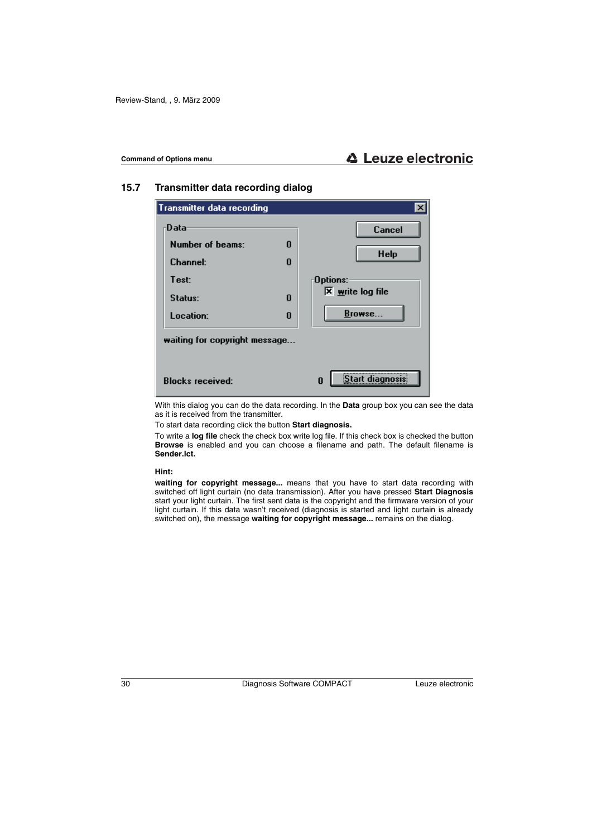## **15.7 Transmitter data recording dialog**

| <b>Transmitter data recording</b>                               |             |                                                                           |
|-----------------------------------------------------------------|-------------|---------------------------------------------------------------------------|
| Data<br>Number of beams:<br><b>Channel:</b><br>Test:<br>Status: | 0<br>0<br>0 | <b>Cancel</b><br><b>Help</b><br>:Options<br>$\overline{X}$ write log file |
| Location:<br>waiting for copyright message                      | 0           | Browse                                                                    |
| <b>Blocks received:</b>                                         |             | Start diagnosis:<br>0                                                     |

With this dialog you can do the data recording. In the **Data** group box you can see the data as it is received from the transmitter.

To start data recording click the button **Start diagnosis.**

To write a **log file** check the check box write log file. If this check box is checked the button **Browse** is enabled and you can choose a filename and path. The default filename is **Sender.lct.**

**Hint:**

**waiting for copyright message...** means that you have to start data recording with switched off light curtain (no data transmission). After you have pressed **Start Diagnosis** start your light curtain. The first sent data is the copyright and the firmware version of your light curtain. If this data wasn't received (diagnosis is started and light curtain is already switched on), the message **waiting for copyright message...** remains on the dialog.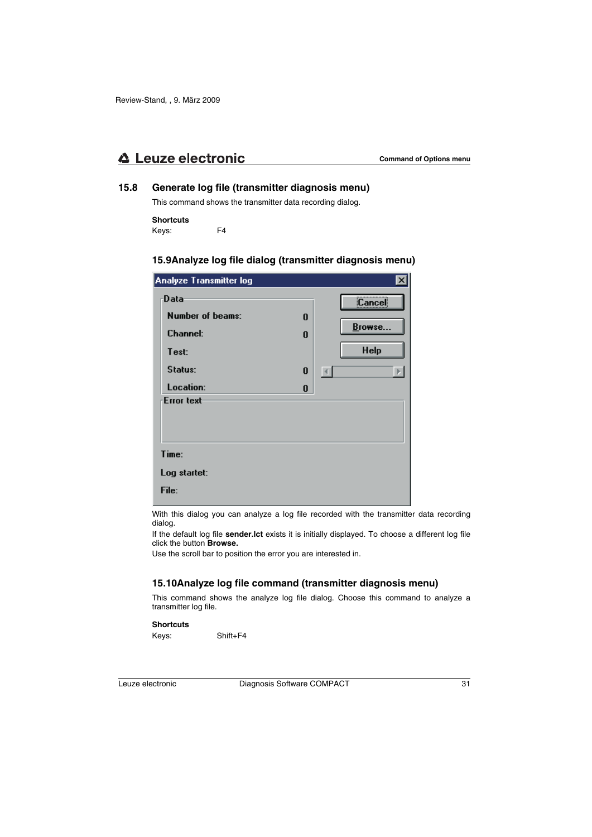## **15.8 Generate log file (transmitter diagnosis menu)**

This command shows the transmitter data recording dialog.

### **Shortcuts**

Keys: F4

## **15.9Analyze log file dialog (transmitter diagnosis menu)**

| Analyze Transmitter log                                                      |                  |                                                                                        |
|------------------------------------------------------------------------------|------------------|----------------------------------------------------------------------------------------|
| Data<br>Number of beams:<br><b>Channel:</b><br>Test:<br>Status:<br>Location: | 0<br>0<br>0<br>0 | <br>Cancel<br>Browse<br><b>Help</b><br>$\left  \cdot \right $<br>$\blacktriangleright$ |
| <b>Error text</b><br>Time:<br>Log startet:<br>File:                          |                  |                                                                                        |

With this dialog you can analyze a log file recorded with the transmitter data recording dialog.

If the default log file **sender.lct** exists it is initially displayed. To choose a different log file click the button **Browse.**

Use the scroll bar to position the error you are interested in.

## **15.10Analyze log file command (transmitter diagnosis menu)**

This command shows the analyze log file dialog. Choose this command to analyze a transmitter log file.

#### **Shortcuts**

Keys: Shift+F4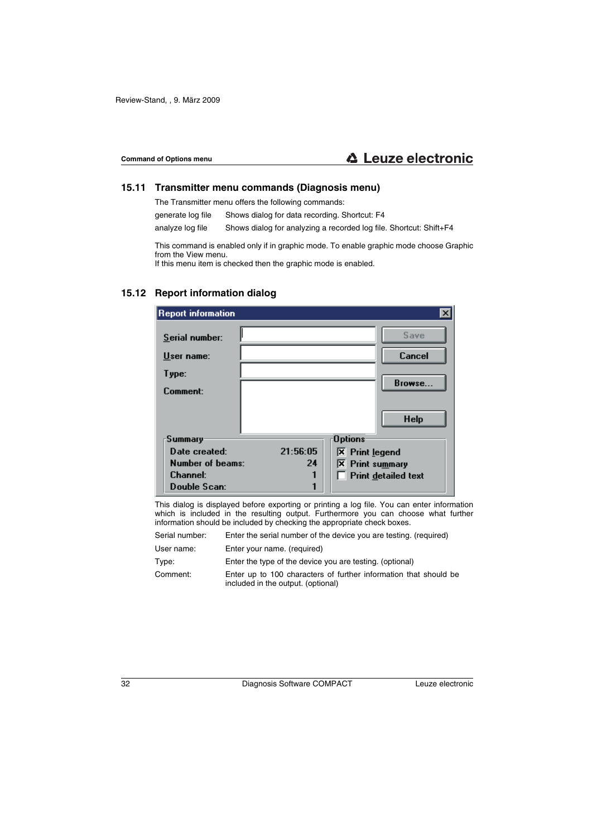## **15.11 Transmitter menu commands (Diagnosis menu)**

The Transmitter menu offers the following commands:

generate log file Shows dialog for data recording. Shortcut: F4

analyze log file Shows dialog for analyzing a recorded log file. Shortcut: Shift+F4

This command is enabled only if in graphic mode. To enable graphic mode choose Graphic from the View menu.

If this menu item is checked then the graphic mode is enabled.

## **15.12 Report information dialog**

| <b>Report information</b>    |          |                             |                       |
|------------------------------|----------|-----------------------------|-----------------------|
| Serial number:<br>User name: |          |                             | Save<br><b>Cancel</b> |
| Type:                        |          |                             |                       |
| Comment:                     |          |                             | Browse                |
|                              |          |                             | <b>Help</b>           |
| Summary                      |          | <b>Options</b>              |                       |
| Date created:                | 21:56:05 | $\overline{X}$ Print legend |                       |
| Number of beams:             | 24       | <b>X</b> Print summary      |                       |
| <b>Channel:</b>              |          |                             | Print detailed text   |
| Double Scan:                 |          |                             |                       |

This dialog is displayed before exporting or printing a log file. You can enter information which is included in the resulting output. Furthermore you can choose what further information should be included by checking the appropriate check boxes.

| Serial number: | Enter the serial number of the device you are testing. (required)                                      |
|----------------|--------------------------------------------------------------------------------------------------------|
| User name:     | Enter your name. (required)                                                                            |
| Type:          | Enter the type of the device you are testing. (optional)                                               |
| Comment:       | Enter up to 100 characters of further information that should be<br>included in the output. (optional) |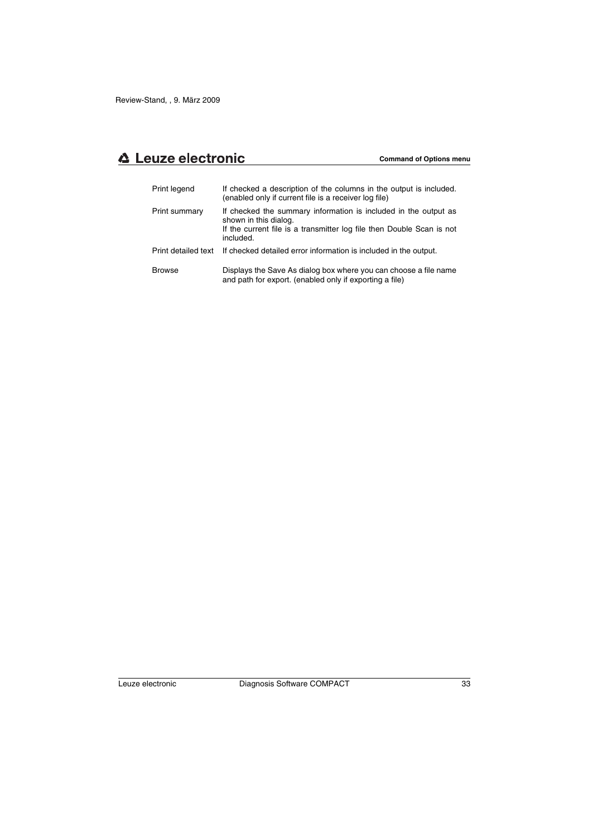| Print legend        | If checked a description of the columns in the output is included.<br>(enabled only if current file is a receiver log file)                                                    |
|---------------------|--------------------------------------------------------------------------------------------------------------------------------------------------------------------------------|
| Print summary       | If checked the summary information is included in the output as<br>shown in this dialog.<br>If the current file is a transmitter log file then Double Scan is not<br>included. |
| Print detailed text | If checked detailed error information is included in the output.                                                                                                               |
| <b>Browse</b>       | Displays the Save As dialog box where you can choose a file name<br>and path for export. (enabled only if exporting a file)                                                    |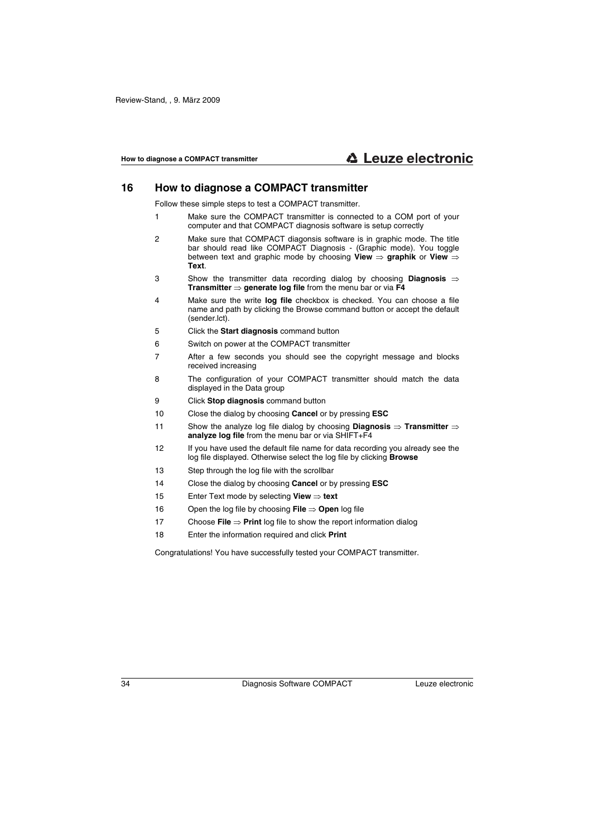## **16 How to diagnose a COMPACT transmitter**

Follow these simple steps to test a COMPACT transmitter.

- 1 Make sure the COMPACT transmitter is connected to a COM port of your computer and that COMPACT diagnosis software is setup correctly
- 2 Make sure that COMPACT diagonsis software is in graphic mode. The title bar should read like COMPACT Diagnosis - (Graphic mode). You toggle between text and graphic mode by choosing **View** ⇒ **graphik** or **View** ⇒ **Text**.
- 3 Show the transmitter data recording dialog by choosing **Diagnosis** ⇒ **Transmitter** ⇒ **generate log file** from the menu bar or via **F4**
- 4 Make sure the write **log file** checkbox is checked. You can choose a file name and path by clicking the Browse command button or accept the default (sender.lct).
- 5 Click the **Start diagnosis** command button
- 6 Switch on power at the COMPACT transmitter
- 7 After a few seconds you should see the copyright message and blocks received increasing
- 8 The configuration of your COMPACT transmitter should match the data displayed in the Data group
- 9 Click **Stop diagnosis** command button
- 10 Close the dialog by choosing **Cancel** or by pressing **ESC**
- 11 Show the analyze log file dialog by choosing **Diagnosis** ⇒ **Transmitter** ⇒ **analyze log file** from the menu bar or via SHIFT+F4
- 12 If you have used the default file name for data recording you already see the log file displayed. Otherwise select the log file by clicking **Browse**
- 13 Step through the log file with the scrollbar
- 14 Close the dialog by choosing **Cancel** or by pressing **ESC**
- 15 Enter Text mode by selecting **View** ⇒ **text**
- 16 Open the log file by choosing **File** ⇒ **Open** log file
- 17 Choose **File** ⇒ **Print** log file to show the report information dialog
- 18 Enter the information required and click **Print**

Congratulations! You have successfully tested your COMPACT transmitter.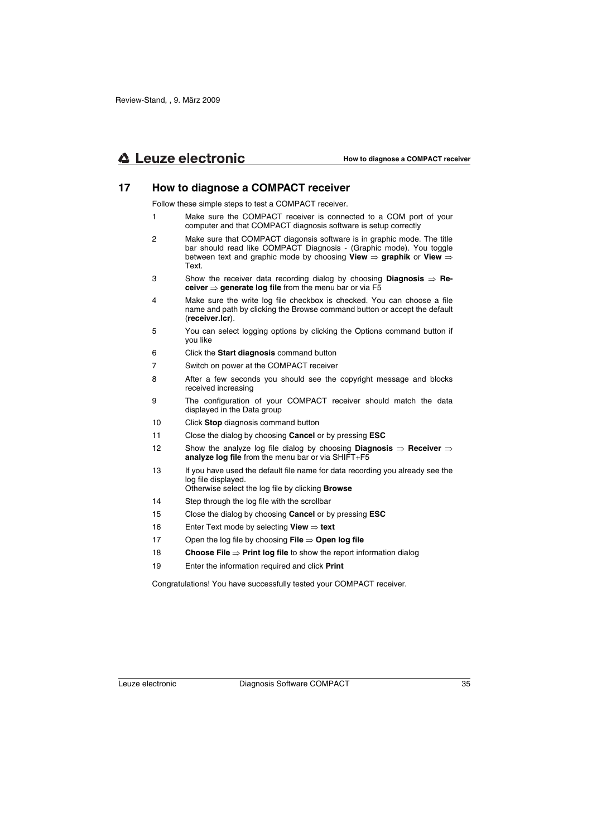## **17 How to diagnose a COMPACT receiver**

Follow these simple steps to test a COMPACT receiver.

- 1 Make sure the COMPACT receiver is connected to a COM port of your computer and that COMPACT diagnosis software is setup correctly
- 2 Make sure that COMPACT diagonsis software is in graphic mode. The title bar should read like COMPACT Diagnosis - (Graphic mode). You toggle between text and graphic mode by choosing **View** ⇒ **graphik** or **View** ⇒ Text.
- 3 Show the receiver data recording dialog by choosing **Diagnosis** ⇒ **Receiver** ⇒ **generate log file** from the menu bar or via F5
- 4 Make sure the write log file checkbox is checked. You can choose a file name and path by clicking the Browse command button or accept the default (**receiver.lcr**).
- 5 You can select logging options by clicking the Options command button if you like
- 6 Click the **Start diagnosis** command button
- 7 Switch on power at the COMPACT receiver
- 8 After a few seconds you should see the copyright message and blocks received increasing
- 9 The configuration of your COMPACT receiver should match the data displayed in the Data group
- 10 Click **Stop** diagnosis command button
- 11 Close the dialog by choosing **Cancel** or by pressing **ESC**
- 12 Show the analyze log file dialog by choosing **Diagnosis** ⇒ **Receiver** ⇒ **analyze log file** from the menu bar or via SHIFT+F5
- 13 If you have used the default file name for data recording you already see the log file displayed.

Otherwise select the log file by clicking **Browse**

- 14 Step through the log file with the scrollbar
- 15 Close the dialog by choosing **Cancel** or by pressing **ESC**
- 16 Enter Text mode by selecting **View** ⇒ **text**
- 17 Open the log file by choosing **File** ⇒ **Open log file**
- 18 **Choose File** ⇒ **Print log file** to show the report information dialog
- 19 Enter the information required and click **Print**

Congratulations! You have successfully tested your COMPACT receiver.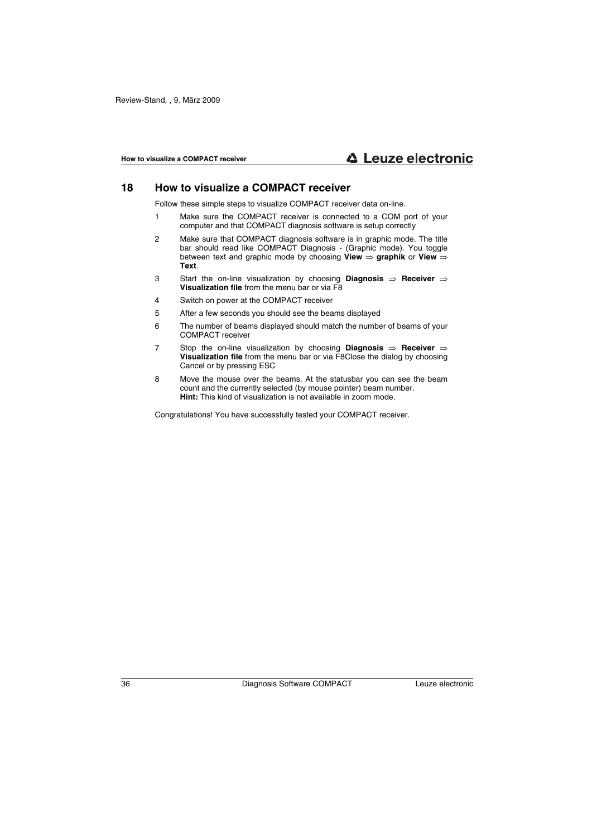## **18 How to visualize a COMPACT receiver**

Follow these simple steps to visualize COMPACT receiver data on-line.

- 1 Make sure the COMPACT receiver is connected to a COM port of your computer and that COMPACT diagnosis software is setup correctly
- 2 Make sure that COMPACT diagnosis software is in graphic mode. The title bar should read like COMPACT Diagnosis - (Graphic mode). You toggle between text and graphic mode by choosing **View** ⇒ **graphik** or **View** ⇒ **Text**.
- 3 Start the on-line visualization by choosing **Diagnosis** ⇒ **Receiver** ⇒ **Visualization file** from the menu bar or via F8
- 4 Switch on power at the COMPACT receiver
- 5 After a few seconds you should see the beams displayed
- 6 The number of beams displayed should match the number of beams of your COMPACT receiver
- 7 Stop the on-line visualization by choosing **Diagnosis** ⇒ **Receiver** ⇒ **Visualization file** from the menu bar or via F8Close the dialog by choosing Cancel or by pressing ESC
- 8 Move the mouse over the beams. At the statusbar you can see the beam count and the currently selected (by mouse pointer) beam number. **Hint:** This kind of visualization is not available in zoom mode.

Congratulations! You have successfully tested your COMPACT receiver.